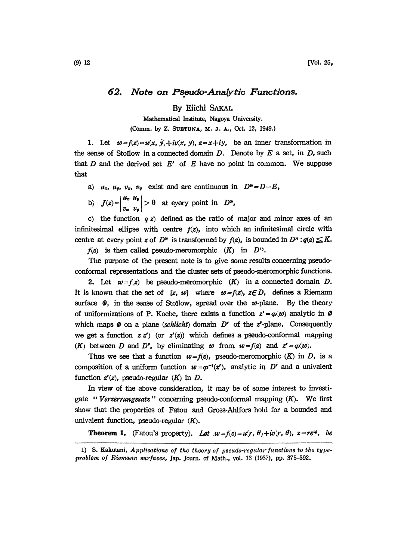## 62. Note on Pseudo-Analytic Functions.

By Eiichi SAKAI.

Mathematical Institute, Nagoya University. (Comm. by Z. SUETUNA, M. J. A., Oct. 12, 1949.)

1. Let  $w = f(z) = u(x, y) + iv(x, y)$ ,  $z = x + iy$ , be an inner transformation in the sense of Stoïlow in a connected domain  $D$ . Denote by  $E$  a set, in  $D$ , such that, D and the derived set  $E'$  of E have no point in common. We suppose that

- a)  $u_x$ ,  $u_y$ ,  $v_x$ ,  $v_y$  exist and are continuous in  $D^* = D E$ ,
- b)  $J(z)=\begin{vmatrix} u_x & u_y \ v_x & v_y \end{vmatrix} > 0$  at eyery point in  $D^*$ ,

c) the function  $q \, z$  defined as the ratio of major and minor axes of an infinitesimal ellipse with centre  $f(z)$ , into which an infinitesimal circle with centre at every point z of  $D^*$  is transformed by  $f(z)$ , is bounded in  $D^* : q(z) \leq K$ .

 $f(z)$  is then called pseudo-meromorphic  $(K)$  in  $D^0$ .

The purpose of the present note is to give some results concerning pseudoconformal representations and the cluster sets of pseudo-meromorphic functions.

2. Let  $w = f z$  be pseudo-meromorphic  $(K)$  in a connected domain D. It is known that the set of [z, w] where  $w=f(z)$ ,  $z \in D$ , defines a Riemann surface  $\phi$ , in the sense of Stoilow, spread over the w-plane. By the theory of uniformizations of P. Koebe, there exists a function  $z' = \varphi(w)$  analytic in  $\varnothing$ which maps  $\Phi$  on a plane (schlicht) domain D' of the z'-plane. Consequently we get a function  $z z'$ ) (or  $z'(z)$ ) which defines a pseudo-conformal mapping (K) between D and D', by eliminating w from,  $w = f(z)$  and  $z' = \varphi(w)$ .

Thus we see that a function  $w=f(z)$ , pseudo-meromorphic  $(K)$  in D, is a composition of a uniform function  $w = \varphi^{-1}(z')$ , analytic in D' and a univalent function  $z'(z)$ , pseudo-regular  $(K)$  in  $D$ .

In view of the above consideration, it may be of some interest to investigate "Verzerrungssatz" concerning pseudo-conformal mapping  $(K)$ . We first show that the properties of Fatou and Gross-Ahlfors hold for a bounded and univalent function, pseudo-regular  $(K)$ .

**Theorem 1.** (Fatou's property). Let  $w = f(z) = u(r, \theta) + iv(r, \theta)$ ,  $z = re^{i\theta}$ , be

<sup>1)</sup> S. Kakutani, Applications of the theory of pseudo-regular functions to the typeproblem of Riemann surfaces, Jap. Journ. of Math., vol. 13 (1937), pp. 375-392.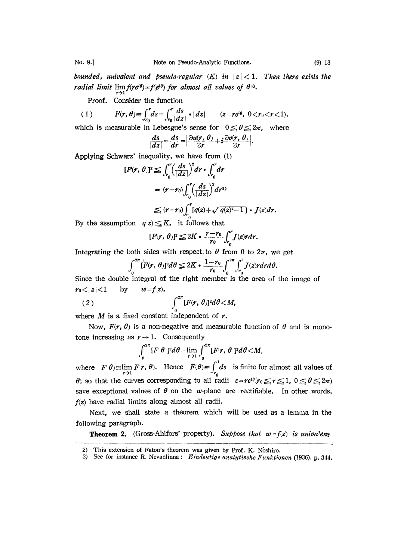bounded, univalent and pseudo-regular  $(K)$  in  $|z| < 1$ . Then there exists the radial limit  $\lim_{f(\mathbf{r}e^{i\theta})=f(e^{i\theta})$  for almost all values of  $\theta^{\lambda}$ .

Proof. Consider the function

(1) 
$$
F(r,\theta) \equiv \int_{r_0}^r ds = \int_{r_0}^r \frac{ds}{|dz|} \cdot |dz| \qquad (z = re^{i\theta}, \ 0 < r_0 < r < 1),
$$

which is measurable in Lebesgue's sense for  $0 \le \theta \le 2\pi$ , where

$$
\frac{ds}{|dz|}=\frac{ds}{dr}=\left|\frac{\partial u(r, \theta)}{\partial r}+i\frac{\partial v(r, \theta)}{\partial r}\right|.
$$

Applying Schwarz' inequality, we have from (1)

$$
\begin{aligned}\n\boxed{dz} &= dr \quad \text{or} \quad \text{or} \quad \text{or} \quad \text{or} \quad \text{or} \quad \text{or} \quad \text{or} \quad \text{or} \quad \text{or} \quad \text{or} \quad \text{or} \quad \text{or} \quad \text{or} \quad \text{or} \quad \text{or} \quad \text{or} \quad \text{or} \quad \text{or} \quad \text{or} \quad \text{or} \quad \text{or} \quad \text{or} \quad \text{or} \quad \text{or} \quad \text{or} \quad \text{or} \quad \text{or} \quad \text{or} \quad \text{or} \quad \text{or} \quad \text{or} \quad \text{or} \quad \text{or} \quad \text{or} \quad \text{or} \quad \text{or} \quad \text{or} \quad \text{or} \quad \text{or} \quad \text{or} \quad \text{or} \quad \text{or} \quad \text{or} \quad \text{or} \quad \text{or} \quad \text{or} \quad \text{or} \quad \text{or} \quad \text{or} \quad \text{or} \quad \text{or} \quad \text{or} \quad \text{or} \quad \text{or} \quad \text{or} \quad \text{or} \quad \text{or} \quad \text{or} \quad \text{or} \quad \text{or} \quad \text{or} \quad \text{or} \quad \text{or} \quad \text{or} \quad \text{or} \quad \text{or} \quad \text{or} \quad \text{or} \quad \text{or} \quad \text{or} \quad \text{or} \quad \text{or} \quad \text{or} \quad \text{or} \quad \text{or} \quad \text{or} \quad \text{or} \quad \text{or} \quad \text{or} \quad \text{or} \quad \text{or} \quad \text{or} \quad \text{or} \quad \text{or} \quad \text{or} \quad \text{or} \quad \text{or} \quad \text{or} \quad \text{or} \quad \text{or} \quad \text{or} \quad \text{or} \quad \text{or} \quad \text{or} \quad \text{or} \quad \text{or} \quad \text{or} \quad \text{or} \quad \text{or} \quad \text{or} \quad \text{or} \quad \text{or} \quad \text{or} \quad \text{or} \quad \text{or} \quad \text{or} \quad
$$

By the assumption  $q z \leq K$ , it follows that

$$
[F(r,\theta)]^2 \leq 2K \cdot \frac{r-r_0}{r_0} \int_{r_0}^r J(z) r dr.
$$

Integrating the both sides with respect to  $\theta$  from 0 to  $2\pi$ , we get

$$
\int_0^{2\pi} [F(r,\theta)]^2 d\theta \leq 2K \cdot \frac{1-r_0}{r_0} \int_0^{2\pi} \int_{r_0}^1 J(z) r dr d\theta.
$$

Since the double integral of the right member is the area of the image of  $r_0 < |z| < 1$  by  $w = f(z)$ ,

$$
(2) \qquad \qquad \int_0^{2\pi} [F(r,\,\theta)]^2 d\theta \langle M,
$$

where  $M$  is a fixed constant independent of  $r$ .

Now,  $F(r, \theta)$  is a non-negative and measurable function of  $\theta$  and is monotone increasing as  $r \rightarrow 1$ . Consequently

$$
\int_0^{2\pi} [F \theta]^2 d\theta = \lim_{r \to 1} \int_0^{2\pi} [F r, \theta]^2 d\theta < M,
$$

where  $F \theta$ ) =  $\lim_{r \to 1} F r$ ,  $\theta$ ). Hence  $F(\theta) = \int_{r_0}^{\infty} ds$  is finite for almost all values of  $\theta$ ; so that the curves corresponding to all radii  $z = re^{i\theta}$ , $r_0 \le r \le 1$ ,  $0 \le \theta \le 2\pi$ ) save exceptional values of  $\theta$  on the w-plane are rectifiable. In other words,  $f(z)$  have radial limits along almost all radii.

Next, we shall state a theorem which will be used as a lemma in the following paragraph.

**Theorem 2.** (Gross-Ahlfors' property). Suppose that  $w = f(z)$  is univalent

<sup>2)</sup> This extension of Fatou's theorem was given by Prof. K. Noshiro.

<sup>3)</sup> See for instance R. Nevanlinna: Eindeutige analytische Funktionen (1936), p. 344.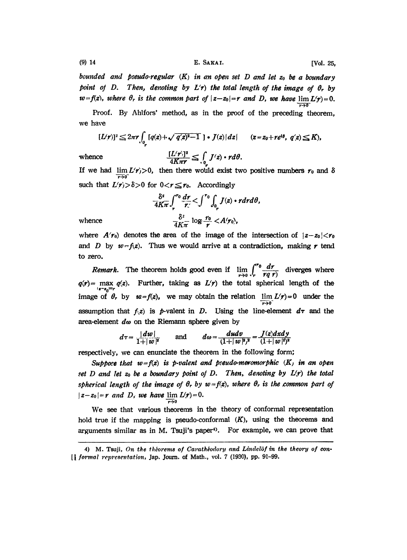E. SAKAI.

[Vol. 25,

bounded and pseudo-regular  $(K)$  in an open set D and let  $z_0$  be a boundary point of D. Then, denoting by  $L(r)$  the total length of the image of  $\theta_r$  by  $w=f(z)$ , where  $\theta_r$  is the common part of  $|z-z_0|=r$  and D, we have  $\lim L(r)=0$ .  $\overline{r\rightarrow 0}$ 

Proof. By Ahlfors' method, as in the proof of the preceding theorem, we have

$$
[L(r)]^2 \leq 2\pi r \int_{0_r} [q(z) + \sqrt{q(z)^2 - 1}] \cdot J(z) |dz| \qquad (z = z_0 + re^{i\theta}, q(z) \leq K),
$$

whence

$$
\frac{[L(r)]^2}{4K\pi r} \leq \int_{\rho_r} J(z) \cdot r d\theta.
$$

If we had  $\lim_{r \to \infty} L(r) > 0$ , then there would exist two positive numbers  $r_0$  and  $\delta$ such that  $L(r) > \delta > 0$  for  $0 < r \le r_0$ . Accordingly

$$
\frac{\delta^2}{4K\pi}\int_r^{r_0}\frac{dr}{r'} < \int_{r_0}^{r_0}\int_{0_r}J(z)\cdot r dr d\theta
$$
\n
$$
\frac{\delta^2}{4K\pi}\log\frac{r_0}{r} < A(r_0),
$$

whence

where  $A(r_0)$  denotes the area of the image of the intersection of  $|z-z_0| < r_0$ and D by  $w = f(z)$ . Thus we would arrive at a contradiction, making r tend to zero.

*Remark*. The theorem holds good even if  $\lim_{r\to 0} \int_r^{r_0} \frac{dr}{rq \, r}$  diverges where  $q(r)$  = max  $q(z)$ . Further, taking as  $L(r)$  the total spherical length of the  $s-s_0$  $r$ image of  $\theta_r$  by  $w=f(z)$ , we may obtain the relation  $\lim L(r)=0$  under the  $\overline{r\rightarrow 0}$ assumption that  $f(z)$  is p-valent in D. Using the line-element  $d\tau$  and the area-element  $d\omega$  on the Riemann sphere given by

$$
d\tau = \frac{|dw|}{1+|w|^2}
$$
 and  $d\omega = \frac{dudv}{(1+|w|^2)^2} = \frac{J(z)dxdy}{(1+|w|^2)^2}$ 

respectively, we can enunciate the theorem in the following form;

Suppose that  $w = f(z)$  is p-valent and pseudo-meromorphic  $(K)$  in an open set D and let  $z_0$  be a boundary point of D. Then, denoting by  $L(r)$  the total spherical length of the image of  $\theta_r$  by  $w = f(z)$ , where  $\theta_r$  is the common part of  $|z-z_0|=r$  and D, we have  $\lim L(r)=0$ .  $\overline{r\rightarrow}0$ 

We see that various theorems in the theory of conformal representation hold true if the mapping is pseudo-conformal  $(K)$ , using the theorems and arguments similar as in M. Tsuji's paper<sup>4</sup>). For example, we can prove that

<sup>4)</sup> M. Tsuji, On the théorems of Carathéodory and Lindelöf in the theory of con-[*] formal representation*, Jap. Journ. of Math., vol. 7 (1930), pp. 91-99.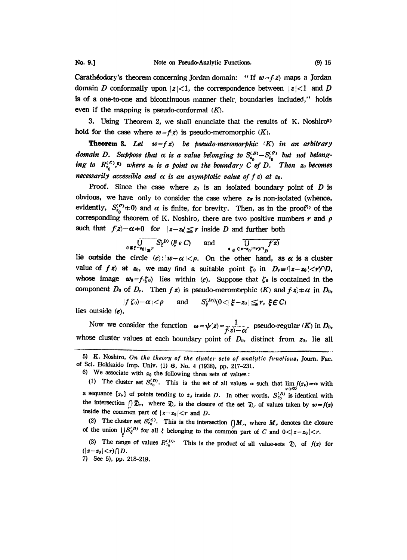**Caratheodory's theorem concerning Jordan domain:** "If  $w - f z$ ) maps a Jordan domain D conformally upon  $|z|<1$ , the correspondence between  $|z|<1$  and D is of a one-to-one and bicontinuous manner their, boundaries included," holds even if the mapping is pseudo-conformal  $(K)$ .

3. Using Theorem 2, we shall enunciate that the results of K. Noshiro<sup>5</sup> hold for the case where  $w = f(z)$  is pseudo-meromorphic  $(K)$ .

**Theorem 3.** Let  $w=fz$ ) be pseudo-meromorphic  $(K)$  in an arbitrary domain D. Suppose that  $\alpha$  is a value belonging to  $S_{z_0}^{(D)} - S_{z_0}^{(C)}$  but not belonging to  $R_{z_0}^{(c)},$ <sup>0</sup> where  $z_0$  is a point on the boundary C of D. Then  $z_0$  becomes necessarily accessible and  $\alpha$  is an asymptotic value of  $f$  z) at z<sub>0</sub>.

Proof. Since the case where  $z_0$  is an isolated boundary point of D is obvious, we have only to consider the case where  $z_{\sigma}$  is non-isolated (whence, evidently,  $S_{s_0}^{(c)}(t)$  and  $\alpha$  is finite, for brevity. Then, as in the proof<sup>7</sup> of the corresponding theorem of K. Noshiro, there are two positive numbers  $r$  and  $\rho$ such that  $f(z)-\alpha+0$  for  $|z-z_0| \leq r$  inside D and further both

$$
\overline{\bigcup_{0\;\Re\;\epsilon^{-g_0}|_{\preceq r}}S^{(D)}_{\epsilon}\left(\xi\;\epsilon\;C\right)}\qquad\text{and}\qquad \overline{\bigcup_{\epsilon\;\epsilon^{\,(|x-z_0|:=r)\cap}D}f(z)}
$$

lie outside the circle  $(c): |w-\alpha| < \rho$ . On the other hand, as  $\alpha$  is a cluster value of f z) at  $z_0$ , we may find a suitable point  $\zeta_0$  in  $D_r = (z-z_0/\langle r \rangle)^n D_r$ , whose image  $w_0 = f(\zeta_0)$  lies within (c). Suppose that  $\zeta_0$  is contained in the component  $D_0$  of  $D_r$ . Then  $f(z)$  is pseudo-meromorphic  $(K)$  and  $f(z) \neq \alpha$  in  $D_0$ ,

 $|f \zeta_0| - \alpha | < \rho$  and  $S_{\varepsilon}^{(D_0)}(0 < |\xi - z_0| \leq r, \xi \in C)$ lies outside  $(e)$ .

Now we consider the function  $\omega=\psi(z)=\frac{1}{f(z)-\alpha}$ , pseudo-regular (K) in D<sub>0</sub>, whose cluster values at each boundary point of  $D_0$ , distinct from  $z_0$ , lie all

(2) The cluster set  $S_{z_0}^{(C)}$ . This is the intersection  $\bigcap M_r$ , where  $M_r$  denotes the closure of the union  $\bigcup_{\varepsilon} S_{\varepsilon}^{(D)}$  for all  $\varepsilon$  belonging to the common part of C and  $0<|z-z_0|< r$ .

(3) The range of values  $R_{z_0}^{(D)}$ . This is the product of all value-sets  $\mathfrak{D}$ , of  $f(z)$  for  $(|z-z_0|< r) \cap D$ .

7) See 5), pp. 218-219.

<sup>5)</sup> K. Noshiro, On the theory of the cluster sets of analytic functions, Journ. Fac. of Sci. Hokkaido Imp. Univ. (1) 6, No. 4 (1938), pp. 217-231.

<sup>6)</sup> We associate with  $z_0$  the following three sets of values:

<sup>(1)</sup> The cluster set  $S_{z_0}^{(D)}$ . This is the set of all values  $\alpha$  such that  $\lim_{\nu \to \infty} f(z_\nu) = \alpha$  with a sequance  $\{x_{\nu}\}\$  of points tending to  $z_{\nu}$  inside D. In other words,  $S_{z_{0}}^{(D)}$  is identical with the intersection  $[|\bar{D}_r,$  where  $\bar{D}_r$  is the closure of the set  $\bar{D}_r$ , of values taken by  $w=f(z)$ inside the common part of  $|z-z_0| < r$  and D.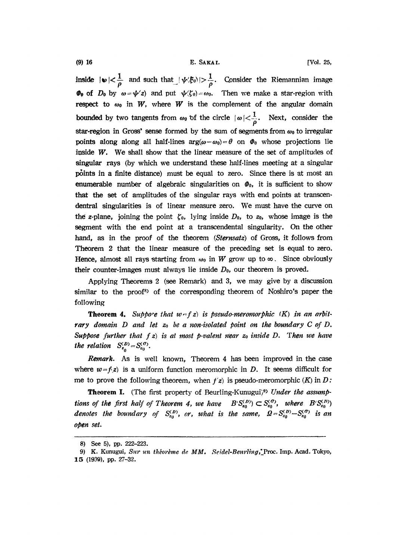(9) 16 E. SAKAI. [Vol. 25,

inside  $|\psi| < \frac{1}{\rho}$  and such that  $|\psi(\xi_0)| > \frac{1}{\rho}$ . Consider the Riemannian image  $\Phi_0$  of  $D_0$  by  $\omega = \psi'(z)$  and put  $\psi(\zeta_0) = \omega_0$ . Then we make a star-region with respect to  $\omega_0$  in W, where W is the complement of the angular domain  $\Phi_0$  of  $D_0$  by  $\omega = \psi'(z)$  and put  $\psi(\zeta_0) = \omega_0$ . Then we make a star-region with respect to  $\omega_0$  in  $W$ , where  $W$  is the complement of the angular domain bounded by two tangents from  $\omega_0$  of the circle  $|\omega| < \frac{$ bounded by two tangents from  $\omega_0$  of the circle  $|\omega| < \frac{1}{\rho}$ . Next, consider the star-region in Gross' sense formed by the sum of segments from  $\omega_0$  to irregular star-region in Gross' sense formed by the sum of segments from  $\omega_0$  to irregular<br>points along along all half-lines  $arg(\omega - \omega_0) = \theta$  on  $\theta_0$  whose projections lie inside  $W$ . We shall show that the linear measure of the set of amplitudes of singular rays (by which we understand these half-lines meeting at a singular points in a finite distance) must be equal to zero. Since there is at most an enumerable number of algebraic singularities on  $\varPhi_0$ , it is sufficient to show that the set of amplitudes of the singular rays with end points at transcendentral singularities is of linear measure zero. We must have the curve on the z-plane, joining the point  $\zeta_0$ , lying inside  $D_0$ , to  $z_0$ , whose image is the segment with the end point at a transcendental singularity. On the other hand, as in the proof of the theorem (Sternsatz) of Gross, it follows from Theorem 2 that the linear measure of the preceding set is equal to zero. Hence, almost all rays starting from  $\omega_0$  in W grow up to  $\infty$ . Since obviously their counter-images must always lie inside  $D_0$ , our theorem is proved.

Applying Theorems 2 (see Remark) and 3, we may give by a discussion similar to the proof<sup>8</sup> of the corresponding theorem of Noshiro's paper the following

**Theorem 4.** Suppose that  $w-fz$  is pseudo-meromorphic (K) in an arbitrary domain  $D$  and let  $z_0$  be a non-isolated point on the boundary C of D. Suppose further that  $f z$ ) is at most p-valent near  $z_0$  inside D. Then we have the relation  $S_{z_0}^{(D)} = S_{z_0}^{(O)}$ .

Remark. As is well known, Theorem 4 has been improved in the case where  $w = f(z)$  is a uniform function meromorphic in D. It seems difficult for me to prove the following theorem, when  $f(z)$  is pseudo-meromorphic  $(K)$  in D:

**Theorem I.** (The first property of Beurling-Kunugui)<sup>9)</sup> Under the assumptions of the first half of Theorem 4, we have  $B(S_{z_0}^{(D)}) \subset S_{z_0}^{(O)}$ , where  $B(S_{z_0}^{(D)})$ denotes the boundary of  $S_{z_0}^{(D)}$ , or, what is the same,  $Q = S_{z_0}^{(D)} - S_{z_0}^{(D)}$  is an open set.

<sup>8)</sup> See 5), pp. 222-223.

<sup>9)</sup> K. Kunugui, Sur un théorème de MM. Seidel-Beurling, Proc. Imp. Acad. Tokyo, 1.5 (1939), pp. 27-32.